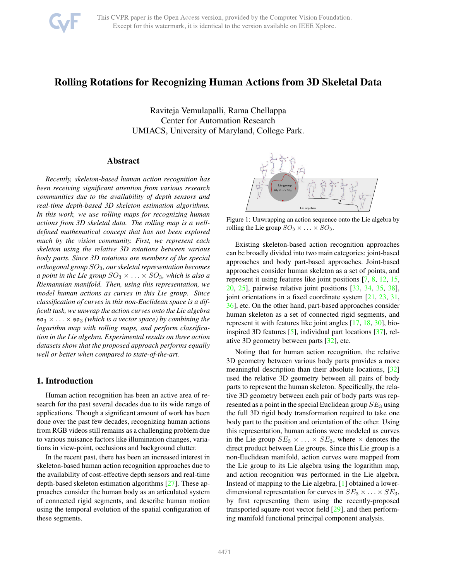

# <span id="page-0-0"></span>Rolling Rotations for Recognizing Human Actions from 3D Skeletal Data

Raviteja Vemulapalli, Rama Chellappa Center for Automation Research UMIACS, University of Maryland, College Park.

# Abstract

*Recently, skeleton-based human action recognition has been receiving significant attention from various research communities due to the availability of depth sensors and real-time depth-based 3D skeleton estimation algorithms. In this work, we use rolling maps for recognizing human actions from 3D skeletal data. The rolling map is a welldefined mathematical concept that has not been explored much by the vision community. First, we represent each skeleton using the relative 3D rotations between various body parts. Since 3D rotations are members of the special orthogonal group* SO3*, our skeletal representation becomes a point in the Lie group*  $SO_3 \times \ldots \times SO_3$ *, which is also a Riemannian manifold. Then, using this representation, we model human actions as curves in this Lie group. Since classification of curves in this non-Euclidean space is a difficult task, we unwrap the action curves onto the Lie algebra*  $\mathfrak{so}_3 \times \ldots \times \mathfrak{so}_3$  *(which is a vector space) by combining the logarithm map with rolling maps, and perform classification in the Lie algebra. Experimental results on three action datasets show that the proposed approach performs equally well or better when compared to state-of-the-art.*

### 1. Introduction

Human action recognition has been an active area of research for the past several decades due to its wide range of applications. Though a significant amount of work has been done over the past few decades, recognizing human actions from RGB videos still remains as a challenging problem due to various nuisance factors like illumination changes, variations in view-point, occlusions and background clutter.

In the recent past, there has been an increased interest in skeleton-based human action recognition approaches due to the availability of cost-effective depth sensors and real-time depth-based skeleton estimation algorithms [\[27\]](#page-8-0). These approaches consider the human body as an articulated system of connected rigid segments, and describe human motion using the temporal evolution of the spatial configuration of these segments.



Figure 1: Unwrapping an action sequence onto the Lie algebra by rolling the Lie group  $SO_3 \times \ldots \times SO_3$ .

Existing skeleton-based action recognition approaches can be broadly divided into two main categories: joint-based approaches and body part-based approaches. Joint-based approaches consider human skeleton as a set of points, and represent it using features like joint positions [\[7,](#page-8-1) [8,](#page-8-2) [12,](#page-8-3) [15,](#page-8-4) [20,](#page-8-5) [25\]](#page-8-6), pairwise relative joint positions [\[33,](#page-8-7) [34,](#page-8-8) [35,](#page-8-9) [38\]](#page-8-10), joint orientations in a fixed coordinate system [\[21,](#page-8-11) [23,](#page-8-12) [31,](#page-8-13) [36\]](#page-8-14), etc. On the other hand, part-based approaches consider human skeleton as a set of connected rigid segments, and represent it with features like joint angles [\[17,](#page-8-15) [18,](#page-8-16) [30\]](#page-8-17), bioinspired 3D features [\[5\]](#page-8-18), individual part locations [\[37\]](#page-8-19), relative 3D geometry between parts [\[32\]](#page-8-20), etc.

Noting that for human action recognition, the relative 3D geometry between various body parts provides a more meaningful description than their absolute locations, [\[32\]](#page-8-20) used the relative 3D geometry between all pairs of body parts to represent the human skeleton. Specifically, the relative 3D geometry between each pair of body parts was represented as a point in the special Euclidean group  $SE_3$  using the full 3D rigid body transformation required to take one body part to the position and orientation of the other. Using this representation, human actions were modeled as curves in the Lie group  $SE_3 \times \ldots \times SE_3$ , where  $\times$  denotes the direct product between Lie groups. Since this Lie group is a non-Euclidean manifold, action curves were mapped from the Lie group to its Lie algebra using the logarithm map, and action recognition was performed in the Lie algebra. Instead of mapping to the Lie algebra, [\[1\]](#page-7-0) obtained a lowerdimensional representation for curves in  $SE_3 \times \ldots \times SE_3$ , by first representing them using the recently-proposed transported square-root vector field [\[29\]](#page-8-21), and then performing manifold functional principal component analysis.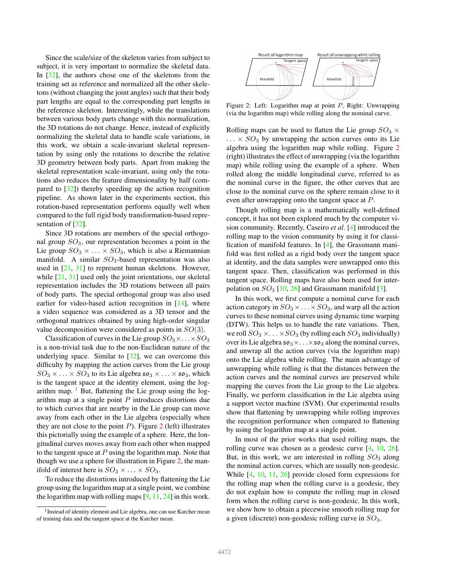<span id="page-1-2"></span>Since the scale/size of the skeleton varies from subject to subject, it is very important to normalize the skeletal data. In [\[32\]](#page-8-20), the authors chose one of the skeletons from the training set as reference and normalized all the other skeletons (without changing the joint angles) such that their body part lengths are equal to the corresponding part lengths in the reference skeleton. Interestingly, while the translations between various body parts change with this normalization, the 3D rotations do not change. Hence, instead of explicitly normalizing the skeletal data to handle scale variations, in this work, we obtain a scale-invariant skeletal representation by using only the rotations to describe the relative 3D geometry between body parts. Apart from making the skeletal representation scale-invariant, using only the rotations also reduces the feature dimensionality by half (compared to [\[32\]](#page-8-20)) thereby speeding up the action recognition pipeline. As shown later in the experiments section, this rotation-based representation performs equally well when compared to the full rigid body transformation-based repre-sentation of [\[32\]](#page-8-20).

Since 3D rotations are members of the special orthogonal group  $SO_3$ , our representation becomes a point in the Lie group  $SO_3 \times \ldots \times SO_3$ , which is also a Riemannian manifold. A similar  $SO_3$ -based representation was also used in [\[21,](#page-8-11) [31\]](#page-8-13) to represent human skeletons. However, while [\[21,](#page-8-11) [31\]](#page-8-13) used only the joint orientations, our skeletal representation includes the 3D rotations between all pairs of body parts. The special orthogonal group was also used earlier for video-based action recognition in  $[14]$ , where a video sequence was considered as a 3D tensor and the orthogonal matrices obtained by using high-order singular value decomposition were considered as points in SO(3).

Classification of curves in the Lie group  $SO_3 \times \ldots \times SO_3$ is a non-trivial task due to the non-Euclidean nature of the underlying space. Similar to [\[32\]](#page-8-20), we can overcome this difficulty by mapping the action curves from the Lie group  $SO_3 \times \ldots \times SO_3$  to its Lie algebra  $\mathfrak{so}_3 \times \ldots \times \mathfrak{so}_3$ , which is the tangent space at the identity element, using the logarithm map.  $\frac{1}{1}$  $\frac{1}{1}$  $\frac{1}{1}$  But, flattening the Lie group using the logarithm map at a single point  $P$  introduces distortions due to which curves that are nearby in the Lie group can move away from each other in the Lie algebra (especially when they are not close to the point  $P$ ). Figure [2](#page-1-1) (left) illustrates this pictorially using the example of a sphere. Here, the longitudinal curves moves away from each other when mapped to the tangent space at  $P$  using the logarithm map. Note that though we use a sphere for illustration in Figure [2,](#page-1-1) the manifold of interest here is  $SO_3 \times \ldots \times SO_3$ .

To reduce the distortions introduced by flattening the Lie group using the logarithm map at a single point, we combine the logarithm map with rolling maps  $[9, 11, 24]$  $[9, 11, 24]$  $[9, 11, 24]$  $[9, 11, 24]$  in this work.

<span id="page-1-1"></span>

Figure 2: Left: Logarithm map at point P, Right: Unwrapping (via the logarithm map) while rolling along the nominal curve.

Rolling maps can be used to flatten the Lie group  $SO_3 \times$  $\ldots \times SO_3$  by unwrapping the action curves onto its Lie algebra using the logarithm map while rolling. Figure [2](#page-1-1) (right) illustrates the effect of unwrapping (via the logarithm map) while rolling using the example of a sphere. When rolled along the middle longitudinal curve, referred to as the nominal curve in the figure, the other curves that are close to the nominal curve on the sphere remain close to it even after unwrapping onto the tangent space at P.

Though rolling map is a mathematically well-defined concept, it has not been explored much by the computer vision community. Recently, Caseiro *et al*. [\[4\]](#page-8-26) introduced the rolling map to the vision community by using it for classification of manifold features. In [\[4\]](#page-8-26), the Grassmann manifold was first rolled as a rigid body over the tangent space at identity, and the data samples were unwrapped onto this tangent space. Then, classification was performed in this tangent space. Rolling maps have also been used for interpolation on  $SO_3$  [\[10,](#page-8-27) [26\]](#page-8-28) and Grassmann manifold [\[3\]](#page-8-29).

In this work, we first compute a nominal curve for each action category in  $SO_3 \times \ldots \times SO_3$ , and warp all the action curves to these nominal curves using dynamic time warping (DTW). This helps us to handle the rate variations. Then, we roll  $SO_3 \times \ldots \times SO_3$  (by rolling each  $SO_3$  individually) over its Lie algebra  $\mathfrak{so}_3 \times \ldots \times \mathfrak{so}_3$  along the nominal curves, and unwrap all the action curves (via the logarithm map) onto the Lie algebra while rolling. The main advantage of unwrapping while rolling is that the distances between the action curves and the nominal curves are preserved while mapping the curves from the Lie group to the Lie algebra. Finally, we perform classification in the Lie algebra using a support vector machine (SVM). Our experimental results show that flattening by unwrapping while rolling improves the recognition performance when compared to flattening by using the logarithm map at a single point.

In most of the prior works that used rolling maps, the rolling curve was chosen as a geodesic curve [\[4,](#page-8-26) [10,](#page-8-27) [26\]](#page-8-28). But, in this work, we are interested in rolling  $SO_3$  along the nominal action curves, which are usually non-geodesic. While [\[4,](#page-8-26) [10,](#page-8-27) [11,](#page-8-24) [26\]](#page-8-28) provide closed form expressions for the rolling map when the rolling curve is a geodesic, they do not explain how to compute the rolling map in closed form when the rolling curve is non-geodesic. In this work, we show how to obtain a piecewise smooth rolling map for a given (discrete) non-geodesic rolling curve in  $SO_3$ .

<span id="page-1-0"></span><sup>&</sup>lt;sup>1</sup> Instead of identity element and Lie algebra, one can use Karcher mean of training data and the tangent space at the Karcher mean.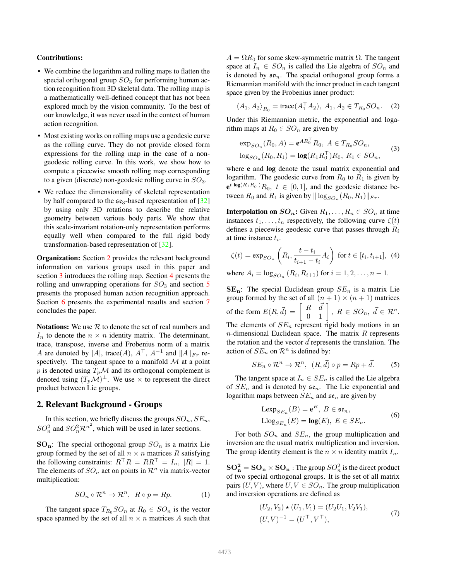#### <span id="page-2-1"></span>Contributions:

- We combine the logarithm and rolling maps to flatten the special orthogonal group  $SO_3$  for performing human action recognition from 3D skeletal data. The rolling map is a mathematically well-defined concept that has not been explored much by the vision community. To the best of our knowledge, it was never used in the context of human action recognition.
- Most existing works on rolling maps use a geodesic curve as the rolling curve. They do not provide closed form expressions for the rolling map in the case of a nongeodesic rolling curve. In this work, we show how to compute a piecewise smooth rolling map corresponding to a given (discrete) non-geodesic rolling curve in  $SO_3$ .
- We reduce the dimensionality of skeletal representation by half compared to the  $\mathfrak{se}_3$ -based representation of [\[32\]](#page-8-20) by using only 3D rotations to describe the relative geometry between various body parts. We show that this scale-invariant rotation-only representation performs equally well when compared to the full rigid body transformation-based representation of [\[32\]](#page-8-20).

**Organization:** Section [2](#page-2-0) provides the relevant background information on various groups used in this paper and section [3](#page-3-0) introduces the rolling map. Section [4](#page-3-1) presents the rolling and unwrapping operations for  $SO_3$  and section [5](#page-5-0) presents the proposed human action recognition approach. Section [6](#page-6-0) presents the experimental results and section [7](#page-7-1) concludes the paper.

**Notations:** We use  $R$  to denote the set of real numbers and  $I_n$  to denote the  $n \times n$  identity matrix. The determinant, trace, transpose, inverse and Frobenius norm of a matrix A are denoted by |A|, trace(A),  $A^{\top}$ ,  $A^{-1}$  and  $||A||_{Fr}$  respectively. The tangent space to a manifold  $M$  at a point p is denoted using  $T_p\mathcal{M}$  and its orthogonal complement is denoted using  $(T_p\mathcal{M})^{\perp}$ . We use  $\times$  to represent the direct product between Lie groups.

# <span id="page-2-0"></span>2. Relevant Background - Groups

In this section, we briefly discuss the groups  $SO_n, SE_n$ ,  $SO_n^2$  and  $SO_n^2 \mathcal{R}^{n^2}$ , which will be used in later sections.

 $SO_n$ : The special orthogonal group  $SO_n$  is a matrix Lie group formed by the set of all  $n \times n$  matrices R satisfying the following constraints:  $R^\dagger R = R R^\dagger = I_n$ ,  $|R| = 1$ . The elements of  $SO_n$  act on points in  $\mathcal{R}^n$  via matrix-vector multiplication:

$$
SO_n \circ \mathcal{R}^n \to \mathcal{R}^n, \ \ R \circ p = Rp.
$$
 (1)

The tangent space  $T_{R_0}SO_n$  at  $R_0 \in SO_n$  is the vector space spanned by the set of all  $n \times n$  matrices A such that  $A = \Omega R_0$  for some skew-symmetric matrix  $\Omega$ . The tangent space at  $I_n \in SO_n$  is called the Lie algebra of  $SO_n$  and is denoted by  $\mathfrak{so}_n$ . The special orthogonal group forms a Riemannian manifold with the inner product in each tangent space given by the Frobenius inner product:

$$
\langle A_1, A_2 \rangle_{R_0} = \text{trace}(A_1^\top A_2), A_1, A_2 \in T_{R_0}SO_n.
$$
 (2)

Under this Riemannian metric, the exponential and logarithm maps at  $R_0 \in SO_n$  are given by

$$
\exp_{SO_n}(R_0, A) = \mathbf{e}^{AR_0^{\top}} R_0, A \in T_{R_0} SO_n,
$$
  

$$
\log_{SO_n}(R_0, R_1) = \log(R_1 R_0^{\top}) R_0, R_1 \in SO_n,
$$
 (3)

where e and log denote the usual matrix exponential and logarithm. The geodesic curve from  $R_0$  to  $R_1$  is given by  $e^{t \log(R_1 R_0^{\top})} R_0$ ,  $t \in [0, 1]$ , and the geodesic distance between  $R_0$  and  $R_1$  is given by  $\|\log_{SO_n}(R_0, R_1)\|_{Fr}$ .

**Interpolation on**  $SO_n$ **:** Given  $R_1, \ldots, R_n \in SO_n$  at time instances  $t_1, \ldots, t_n$  respectively, the following curve  $\zeta(t)$ defines a piecewise geodesic curve that passes through  $R_i$ at time instance  $t_i$ .

$$
\zeta(t) = \exp_{SO_n}\left(R_i, \frac{t - t_i}{t_{i+1} - t_i} A_i\right) \text{ for } t \in [t_i, t_{i+1}], \tag{4}
$$

where  $A_i = \log_{SO_n} (R_i, R_{i+1})$  for  $i = 1, 2, ..., n - 1$ .

 $SE_n$ : The special Euclidean group  $SE_n$  is a matrix Lie group formed by the set of all  $(n + 1) \times (n + 1)$  matrices of the form  $E(R, \vec{d}) = \begin{bmatrix} R & \vec{d} \\ 0 & 1 \end{bmatrix}$ ,  $R \in SO_n$ ,  $\vec{d} \in \mathcal{R}^n$ . The elements of  $SE_n$  represent rigid body motions in an  $n$ -dimensional Euclidean space. The matrix  $R$  represents the rotation and the vector  $d$  represents the translation. The action of  $SE_n$  on  $\mathcal{R}^n$  is defined by:

$$
SE_n \circ \mathcal{R}^n \to \mathcal{R}^n, \ \ (R, \vec{d}) \circ p = Rp + \vec{d}.\tag{5}
$$

The tangent space at  $I_n \in SE_n$  is called the Lie algebra of  $SE_n$  and is denoted by  $\mathfrak{se}_n$ . The Lie exponential and logarithm maps between  $SE_n$  and  $se_n$  are given by

$$
L \exp_{SE_n}(B) = \mathbf{e}^B, B \in \mathfrak{se}_n,
$$
  
\n
$$
L \log_{SE_n}(E) = \log(E), E \in SE_n.
$$
 (6)

For both  $SO_n$  and  $SE_n$ , the group multiplication and inversion are the usual matrix multiplication and inversion. The group identity element is the  $n \times n$  identity matrix  $I_n$ .

 ${\bf SO}_{\bf n}^{\bf 2}={\bf SO}_{\bf n}\times{\bf SO}_{\bf n}$  : The group  $SO_n^2$  is the direct product of two special orthogonal groups. It is the set of all matrix pairs  $(U, V)$ , where  $U, V \in SO_n$ . The group multiplication and inversion operations are defined as

$$
(U_2, V_2) \star (U_1, V_1) = (U_2 U_1, V_2 V_1),
$$
  

$$
(U, V)^{-1} = (U^{\top}, V^{\top}),
$$
 (7)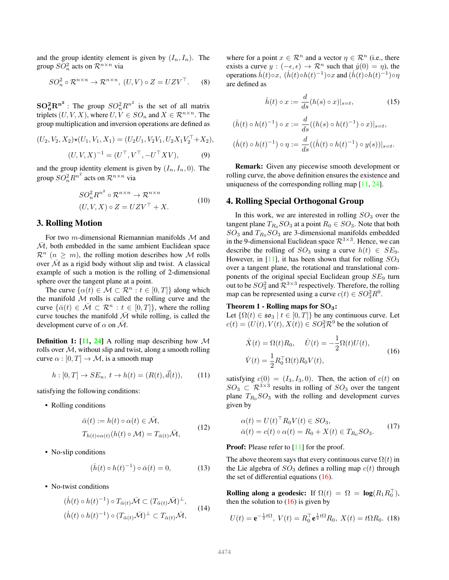<span id="page-3-4"></span>and the group identity element is given by  $(I_n, I_n)$ . The group  $\widetilde{SO_n^2}$  acts on  $\widetilde{\mathcal{R}}^{n \times n}$  via

$$
SO_n^2 \circ \mathcal{R}^{n \times n} \to \mathcal{R}^{n \times n}, (U, V) \circ Z = U Z V^{\top}.
$$
 (8)

 $\mathbf{SO}_{\mathbf{n}}^2 \mathbf{R}^{\mathbf{n}^2}$ : The group  $SO_n^2 R^{n^2}$  is the set of all matrix triplets  $(U, V, X)$ , where  $U, V \in SO_n$  and  $X \in \mathbb{R}^{n \times n}$ . The group multiplication and inversion operations are defined as

$$
(U_2, V_2, X_2) \star (U_1, V_1, X_1) = (U_2 U_1, V_2 V_1, U_2 X_1 V_2^{\top} + X_2),
$$
  

$$
(U, V, X)^{-1} = (U^{\top}, V^{\top}, -U^{\top} X V),
$$
 (9)

and the group identity element is given by  $(I_n, I_n, 0)$ . The group  $SO_n^2 R^{n^2}$  acts on  $\mathcal{R}^{n \times n}$  via

$$
SO_n^2 R^{n^2} \circ \mathcal{R}^{n \times n} \to \mathcal{R}^{n \times n}
$$
  
(U, V, X)  $\circ$  Z = UZV<sup>T</sup> + X. (10)

#### <span id="page-3-0"></span>3. Rolling Motion

For two *m*-dimensional Riemannian manifolds  $M$  and  $\overline{\mathcal{M}}$ , both embedded in the same ambient Euclidean space  $\mathcal{R}^n$  ( $n > m$ ), the rolling motion describes how M rolls over  $\overline{\mathcal{M}}$  as a rigid body without slip and twist. A classical example of such a motion is the rolling of 2-dimensional sphere over the tangent plane at a point.

The curve  $\{\alpha(t) \in \mathcal{M} \subset \mathcal{R}^n : t \in [0, T]\}\$  along which the manifold  $M$  rolls is called the rolling curve and the curve  $\{\bar{\alpha}(t) \in \bar{\mathcal{M}} \subset \mathcal{R}^n : t \in [0,T]\}$ , where the rolling curve touches the manifold  $\overline{\mathcal{M}}$  while rolling, is called the development curve of  $\alpha$  on  $\overline{\mathcal{M}}$ .

**Definition 1:** [\[11,](#page-8-24) [24\]](#page-8-25) A rolling map describing how  $M$ rolls over  $\overline{\mathcal{M}}$ , without slip and twist, along a smooth rolling curve  $\alpha : [0, T] \to M$ , is a smooth map

$$
h: [0, T] \to SE_n, t \to h(t) = (R(t), \vec{d}(t)), \tag{11}
$$

satisfying the following conditions:

• Rolling conditions

$$
\bar{\alpha}(t) := h(t) \circ \alpha(t) \in \bar{\mathcal{M}},
$$
  
\n
$$
T_{h(t)\circ\alpha(t)}(h(t) \circ \mathcal{M}) = T_{\bar{\alpha}(t)}\bar{\mathcal{M}},
$$
\n(12)

• No-slip conditions

$$
(\dot{h}(t) \circ h(t)^{-1}) \circ \bar{\alpha}(t) = 0, \tag{13}
$$

• No-twist conditions

$$
(h(t) \circ h(t)^{-1}) \circ T_{\bar{\alpha}(t)} \bar{\mathcal{M}} \subset (T_{\bar{\alpha}(t)} \bar{\mathcal{M}})^{\perp},
$$
  

$$
(h(t) \circ h(t)^{-1}) \circ (T_{\bar{\alpha}(t)} \bar{\mathcal{M}})^{\perp} \subset T_{\bar{\alpha}(t)} \bar{\mathcal{M}},
$$
 (14)

where for a point  $x \in \mathcal{R}^n$  and a vector  $\eta \in \mathcal{R}^n$  (i.e., there exists a curve  $y : (-\epsilon, \epsilon) \to \mathcal{R}^n$  such that  $\dot{y}(0) = \eta$ , the operations  $\dot{h}(t) \circ x$ ,  $(\dot{h}(t) \circ h(t)^{-1}) \circ x$  and  $(\dot{h}(t) \circ h(t)^{-1}) \circ \eta$ are defined as

$$
\dot{h}(t) \circ x := \frac{d}{ds}(h(s) \circ x)|_{s=t},\tag{15}
$$

$$
(\dot{h}(t) \circ h(t)^{-1}) \circ x := \frac{d}{ds}((h(s) \circ h(t)^{-1}) \circ x)|_{s=t},
$$
  

$$
(\dot{h}(t) \circ h(t)^{-1}) \circ \eta := \frac{d}{ds}((\dot{h}(t) \circ h(t)^{-1}) \circ y(s))|_{s=t}.
$$

Remark: Given any piecewise smooth development or rolling curve, the above definition ensures the existence and uniqueness of the corresponding rolling map [\[11,](#page-8-24) [24\]](#page-8-25).

### <span id="page-3-1"></span>4. Rolling Special Orthogonal Group

In this work, we are interested in rolling  $SO_3$  over the tangent plane  $T_{R_0}SO_3$  at a point  $R_0 \in SO_3$ . Note that both  $SO_3$  and  $T_{R_0}SO_3$  are 3-dimensional manifolds embedded in the 9-dimensional Euclidean space  $\mathcal{R}^{3\times3}$ . Hence, we can describe the rolling of  $SO_3$  using a curve  $h(t) \in SE_9$ . However, in [\[11\]](#page-8-24), it has been shown that for rolling  $SO_3$ over a tangent plane, the rotational and translational components of the original special Euclidean group  $SE_9$  turn out to be  $SO_3^2$  and  $\mathcal{R}^{3\times 3}$  respectively. Therefore, the rolling map can be represented using a curve  $c(t) \in SO_3^2 R^9$ .

### Theorem 1 - Rolling maps for  $SO_3$ :

Let  $\{\Omega(t) \in \mathfrak{so}_3 \mid t \in [0,T]\}$  be any continuous curve. Let  $c(t) = (U(t), V(t), X(t)) \in SO_3^2 \mathcal{R}^9$  be the solution of

<span id="page-3-2"></span>
$$
\dot{X}(t) = \Omega(t)R_0, \quad \dot{U}(t) = -\frac{1}{2}\Omega(t)U(t),
$$
\n
$$
\dot{V}(t) = \frac{1}{2}R_0^{\top}\Omega(t)R_0V(t),
$$
\n(16)

satisfying  $c(0) = (I_3, I_3, 0)$ . Then, the action of  $c(t)$  on  $SO_3 \subset \mathbb{R}^{3 \times 3}$  results in rolling of  $SO_3$  over the tangent plane  $T_{R_0}SO_3$  with the rolling and development curves given by

$$
\alpha(t) = U(t)^\top R_0 V(t) \in SO_3,
$$
  
\n
$$
\bar{\alpha}(t) = c(t) \circ \alpha(t) = R_0 + X(t) \in T_{R_0} SO_3.
$$
\n(17)

**Proof:** Please refer to [\[11\]](#page-8-24) for the proof.

The above theorem says that every continuous curve  $\Omega(t)$  in the Lie algebra of  $SO_3$  defines a rolling map  $c(t)$  through the set of differential equations  $(16)$ .

Rolling along a geodesic: If  $\Omega(t) = \Omega = \log(R_1 R_0^{\top}),$ then the solution to  $(16)$  is given by

<span id="page-3-3"></span>
$$
U(t) = \mathbf{e}^{-\frac{1}{2}t\Omega}, \ V(t) = R_0^\top \mathbf{e}^{\frac{1}{2}t\Omega} R_0, \ X(t) = t\Omega R_0. \tag{18}
$$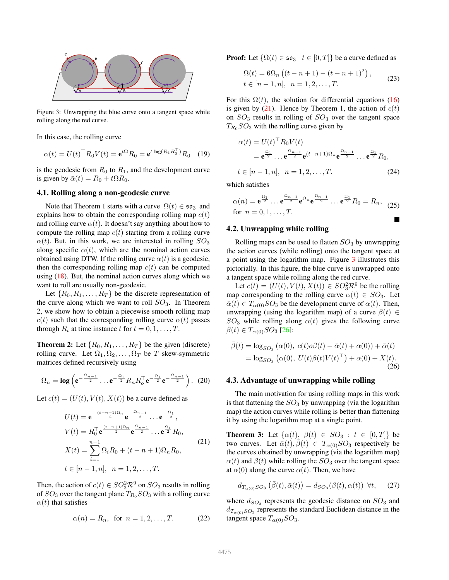<span id="page-4-3"></span><span id="page-4-1"></span>

Figure 3: Unwrapping the blue curve onto a tangent space while rolling along the red curve.

In this case, the rolling curve

$$
\alpha(t) = U(t)^{\top} R_0 V(t) = \mathbf{e}^{t\Omega} R_0 = \mathbf{e}^{t \log(R_1 R_0^{\top})} R_0 \quad (19)
$$

is the geodesic from  $R_0$  to  $R_1$ , and the development curve is given by  $\bar{\alpha}(t) = R_0 + t \Omega R_0$ .

### 4.1. Rolling along a non-geodesic curve

Note that Theorem 1 starts with a curve  $\Omega(t) \in \mathfrak{so}_3$  and explains how to obtain the corresponding rolling map  $c(t)$ and rolling curve  $\alpha(t)$ . It doesn't say anything about how to compute the rolling map  $c(t)$  starting from a rolling curve  $\alpha(t)$ . But, in this work, we are interested in rolling  $SO_3$ along specific  $\alpha(t)$ , which are the nominal action curves obtained using DTW. If the rolling curve  $\alpha(t)$  is a geodesic, then the corresponding rolling map  $c(t)$  can be computed using  $(18)$ . But, the nominal action curves along which we want to roll are usually non-geodesic.

Let  $\{R_0, R_1, \ldots, R_T\}$  be the discrete representation of the curve along which we want to roll  $SO_3$ . In Theorem 2, we show how to obtain a piecewise smooth rolling map  $c(t)$  such that the corresponding rolling curve  $\alpha(t)$  passes through  $R_t$  at time instance t for  $t = 0, 1, \ldots, T$ .

**Theorem 2:** Let  $\{R_0, R_1, \ldots, R_T\}$  be the given (discrete) rolling curve. Let  $\Omega_1, \Omega_2, \ldots, \Omega_T$  be T skew-symmetric matrices defined recursively using

$$
\Omega_n = \log \left( e^{-\frac{\Omega_{n-1}}{2}} \dots e^{-\frac{\Omega_1}{2}} R_n R_o^{\top} e^{-\frac{\Omega_1}{2}} e^{-\frac{\Omega_{n-1}}{2}} \right).
$$
 (20)

Let  $c(t) = (U(t), V(t), X(t))$  be a curve defined as

<span id="page-4-0"></span>
$$
U(t) = \mathbf{e}^{-\frac{(t-n+1)\Omega_n}{2}} \mathbf{e}^{-\frac{\Omega_{n-1}}{2}} \dots \mathbf{e}^{-\frac{\Omega_1}{2}},
$$
  
\n
$$
V(t) = R_0^\top \mathbf{e}^{\frac{(t-n+1)\Omega_n}{2}} \mathbf{e}^{\frac{\Omega_{n-1}}{2}} \dots \mathbf{e}^{\frac{\Omega_1}{2}} R_0,
$$
  
\n
$$
X(t) = \sum_{i=1}^{n-1} \Omega_i R_0 + (t - n + 1)\Omega_n R_0,
$$
  
\n
$$
t \in [n-1, n], \quad n = 1, 2, \dots, T.
$$
\n(21)

Then, the action of  $c(t) \in SO_3^2 \mathcal{R}^9$  on  $SO_3$  results in rolling of  $SO_3$  over the tangent plane  $T_{R_0}SO_3$  with a rolling curve  $\alpha(t)$  that satisfies

$$
\alpha(n) = R_n
$$
, for  $n = 1, 2, ..., T$ . (22)

**Proof:** Let  $\{\Omega(t) \in \mathfrak{so}_3 \mid t \in [0, T]\}$  be a curve defined as

$$
\Omega(t) = 6\Omega_n \left( (t - n + 1) - (t - n + 1)^2 \right),
$$
  
\n
$$
t \in [n - 1, n], \quad n = 1, 2, \dots, T.
$$
\n(23)

For this  $\Omega(t)$ , the solution for differential equations [\(16\)](#page-3-2) is given by [\(21\)](#page-4-0). Hence by Theorem 1, the action of  $c(t)$ on  $SO_3$  results in rolling of  $SO_3$  over the tangent space  $T_{R_0}SO_3$  with the rolling curve given by

$$
\alpha(t) = U(t)^{\top} R_0 V(t)
$$
  
=  $\mathbf{e}^{\frac{\Omega_1}{2}} \dots \mathbf{e}^{\frac{\Omega_{n-1}}{2}} \mathbf{e}^{(t-n+1)\Omega_n} \mathbf{e}^{\frac{\Omega_{n-1}}{2}} \dots \mathbf{e}^{\frac{\Omega_1}{2}} R_0,$   
 $t \in [n-1, n], \ n = 1, 2, \dots, T.$  (24)

which satisfies

$$
\alpha(n) = \mathbf{e}^{\frac{\Omega_1}{2}} \dots \mathbf{e}^{\frac{\Omega_{n-1}}{2}} \mathbf{e}^{\Omega_n} \mathbf{e}^{\frac{\Omega_{n-1}}{2}} \dots \mathbf{e}^{\frac{\Omega_1}{2}} R_0 = R_n, \tag{25}
$$
  
for  $n = 0, 1, \dots, T$ .

#### 4.2. Unwrapping while rolling

Rolling maps can be used to flatten  $SO<sub>3</sub>$  by unwrapping the action curves (while rolling) onto the tangent space at a point using the logarithm map. Figure [3](#page-4-1) illustrates this pictorially. In this figure, the blue curve is unwrapped onto a tangent space while rolling along the red curve.

Let  $c(t) = (U(t), V(t), X(t)) \in SO_3^2 \mathcal{R}^9$  be the rolling map corresponding to the rolling curve  $\alpha(t) \in SO_3$ . Let  $\bar{\alpha}(t) \in T_{\alpha(0)}SO_3$  be the development curve of  $\alpha(t)$ . Then, unwrapping (using the logarithm map) of a curve  $\beta(t) \in$  $SO_3$  while rolling along  $\alpha(t)$  gives the following curve  $\overline{\beta}(t) \in T_{\alpha(0)}SO_3$  [\[26\]](#page-8-28):

<span id="page-4-2"></span>
$$
\bar{\beta}(t) = \log_{SO_3} (\alpha(0), c(t)\sigma(t) - \bar{\alpha}(t) + \alpha(0)) + \bar{\alpha}(t)
$$
  
=  $\log_{SO_3} (\alpha(0), U(t)\beta(t)V(t)^{\top}) + \alpha(0) + X(t).$  (26)

#### 4.3. Advantage of unwrapping while rolling

The main motivation for using rolling maps in this work is that flattening the  $SO_3$  by unwrapping (via the logarithm map) the action curves while rolling is better than flattening it by using the logarithm map at a single point.

**Theorem 3:** Let  $\{\alpha(t), \beta(t) \in SO_3 : t \in [0, T]\}$  be two curves. Let  $\bar{\alpha}(t), \bar{\beta}(t) \in T_{\alpha(0)}SO_3$  respectively be the curves obtained by unwrapping (via the logarithm map)  $\alpha(t)$  and  $\beta(t)$  while rolling the  $SO_3$  over the tangent space at  $\alpha(0)$  along the curve  $\alpha(t)$ . Then, we have

$$
d_{T_{\alpha(0)}SO_3}\left(\bar{\beta}(t),\bar{\alpha}(t)\right) = d_{SO_3}(\beta(t),\alpha(t)) \ \ \forall t,\tag{27}
$$

where  $d_{SO_3}$  represents the geodesic distance on  $SO_3$  and  $d_{T_{\alpha(0)}SO_3}$  represents the standard Euclidean distance in the tangent space  $T_{\alpha(0)}SO_3$ .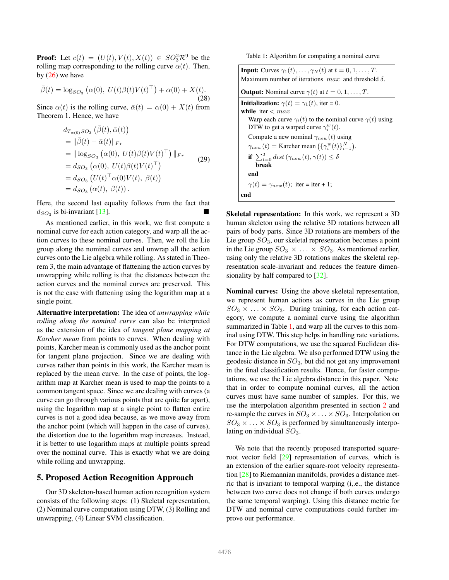<span id="page-5-2"></span>**Proof:** Let  $c(t) = (U(t), V(t), X(t)) \in SO_3^2 \mathbb{R}^9$  be the rolling map corresponding to the rolling curve  $\alpha(t)$ . Then, by  $(26)$  we have

$$
\bar{\beta}(t) = \log_{SO_3} (\alpha(0), U(t)\beta(t)V(t)^{\top}) + \alpha(0) + X(t).
$$
\n(28)

Since  $\alpha(t)$  is the rolling curve,  $\bar{\alpha}(t) = \alpha(0) + X(t)$  from Theorem 1. Hence, we have

$$
d_{T_{\alpha(0)}SO_3}(\bar{\beta}(t), \bar{\alpha}(t))
$$
  
=  $\|\bar{\beta}(t) - \bar{\alpha}(t)\|_{Fr}$   
=  $\|\log_{SO_3}(\alpha(0), U(t)\beta(t)V(t)^{\top})\|_{Fr}$   
=  $d_{SO_3}(\alpha(0), U(t)\beta(t)V(t)^{\top})$   
=  $d_{SO_3}(U(t)^{\top}\alpha(0)V(t), \beta(t))$   
=  $d_{SO_3}(\alpha(t), \beta(t)).$  (29)

Here, the second last equality follows from the fact that  $d_{SO_3}$  is bi-invariant [\[13\]](#page-8-30).

As mentioned earlier, in this work, we first compute a nominal curve for each action category, and warp all the action curves to these nominal curves. Then, we roll the Lie group along the nominal curves and unwrap all the action curves onto the Lie algebra while rolling. As stated in Theorem 3, the main advantage of flattening the action curves by unwrapping while rolling is that the distances between the action curves and the nominal curves are preserved. This is not the case with flattening using the logarithm map at a single point.

Alternative interpretation: The idea of *unwrapping while rolling along the nominal curve* can also be interpreted as the extension of the idea of *tangent plane mapping at Karcher mean* from points to curves. When dealing with points, Karcher mean is commonly used as the anchor point for tangent plane projection. Since we are dealing with curves rather than points in this work, the Karcher mean is replaced by the mean curve. In the case of points, the logarithm map at Karcher mean is used to map the points to a common tangent space. Since we are dealing with curves (a curve can go through various points that are quite far apart), using the logarithm map at a single point to flatten entire curves is not a good idea because, as we move away from the anchor point (which will happen in the case of curves), the distortion due to the logarithm map increases. Instead, it is better to use logarithm maps at multiple points spread over the nominal curve. This is exactly what we are doing while rolling and unwrapping.

### <span id="page-5-0"></span>5. Proposed Action Recognition Approach

Our 3D skeleton-based human action recognition system consists of the following steps: (1) Skeletal representation, (2) Nominal curve computation using DTW, (3) Rolling and unwrapping, (4) Linear SVM classification.

Table 1: Algorithm for computing a nominal curve

<span id="page-5-1"></span>

| <b>Input:</b> Curves $\gamma_1(t), \ldots, \gamma_N(t)$ at $t = 0, 1, \ldots, T$ .<br>Maximum number of iterations $max$ and threshold $\delta$ . |  |  |  |
|---------------------------------------------------------------------------------------------------------------------------------------------------|--|--|--|
| <b>Output:</b> Nominal curve $\gamma(t)$ at $t = 0, 1, , T$ .                                                                                     |  |  |  |
| <b>Initialization:</b> $\gamma(t) = \gamma_1(t)$ , iter = 0.<br>while iter $\langle$ max                                                          |  |  |  |
| Warp each curve $\gamma_i(t)$ to the nominal curve $\gamma(t)$ using<br>DTW to get a warped curve $\gamma_i^w(t)$ .                               |  |  |  |
| Compute a new nominal $\gamma_{new}(t)$ using<br>$\gamma_{new}(t) =$ Karcher mean $(\{\gamma_i^w(t)\}_{i=1}^N)$ .                                 |  |  |  |
| if $\sum_{t=0}^{T} dist(\gamma_{new}(t), \gamma(t)) \leq \delta$<br>break                                                                         |  |  |  |
| end                                                                                                                                               |  |  |  |
| $\gamma(t) = \gamma_{new}(t)$ ; iter = iter + 1;                                                                                                  |  |  |  |
| end                                                                                                                                               |  |  |  |

Skeletal representation: In this work, we represent a 3D human skeleton using the relative 3D rotations between all pairs of body parts. Since 3D rotations are members of the Lie group  $SO_3$ , our skeletal representation becomes a point in the Lie group  $SO_3 \times \ldots \times SO_3$ . As mentioned earlier, using only the relative 3D rotations makes the skeletal representation scale-invariant and reduces the feature dimensionality by half compared to [\[32\]](#page-8-20).

Nominal curves: Using the above skeletal representation, we represent human actions as curves in the Lie group  $SO_3 \times \ldots \times SO_3$ . During training, for each action category, we compute a nominal curve using the algorithm summarized in Table [1,](#page-5-1) and warp all the curves to this nominal using DTW. This step helps in handling rate variations. For DTW computations, we use the squared Euclidean distance in the Lie algebra. We also performed DTW using the geodesic distance in  $SO_3$ , but did not get any improvement in the final classification results. Hence, for faster computations, we use the Lie algebra distance in this paper. Note that in order to compute nominal curves, all the action curves must have same number of samples. For this, we use the interpolation algorithm presented in section [2](#page-2-0) and re-sample the curves in  $SO_3 \times \ldots \times SO_3$ . Interpolation on  $SO_3 \times \ldots \times SO_3$  is performed by simultaneously interpolating on individual  $SO_3$ .

We note that the recently proposed transported squareroot vector field [\[29\]](#page-8-21) representation of curves, which is an extension of the earlier square-root velocity representation [\[28\]](#page-8-31) to Riemannian manifolds, provides a distance metric that is invariant to temporal warping (i,.e., the distance between two curve does not change if both curves undergo the same temporal warping). Using this distance metric for DTW and nominal curve computations could further improve our performance.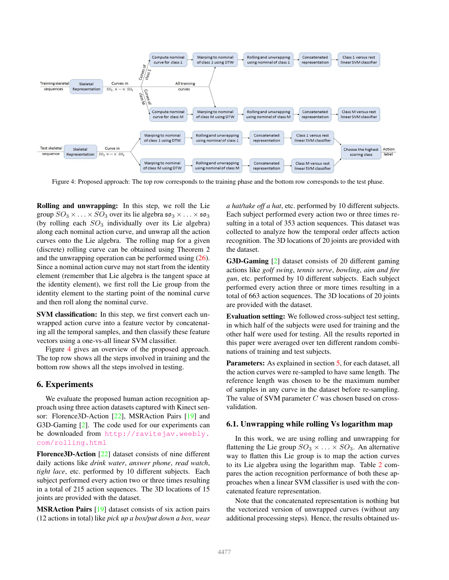<span id="page-6-2"></span><span id="page-6-1"></span>

Figure 4: Proposed approach: The top row corresponds to the training phase and the bottom row corresponds to the test phase.

Rolling and unwrapping: In this step, we roll the Lie group  $SO_3 \times \ldots \times SO_3$  over its lie algebra  $\mathfrak{so}_3 \times \ldots \times \mathfrak{so}_3$ (by rolling each  $SO_3$  individually over its Lie algebra) along each nominal action curve, and unwrap all the action curves onto the Lie algebra. The rolling map for a given (discrete) rolling curve can be obtained using Theorem 2 and the unwrapping operation can be performed using [\(26\)](#page-4-2). Since a nominal action curve may not start from the identity element (remember that Lie algebra is the tangent space at the identity element), we first roll the Lie group from the identity element to the starting point of the nominal curve and then roll along the nominal curve.

SVM classification: In this step, we first convert each unwrapped action curve into a feature vector by concatenating all the temporal samples, and then classify these feature vectors using a one-vs-all linear SVM classifier.

Figure [4](#page-6-1) gives an overview of the proposed approach. The top row shows all the steps involved in training and the bottom row shows all the steps involved in testing.

### <span id="page-6-0"></span>6. Experiments

We evaluate the proposed human action recognition approach using three action datasets captured with Kinect sen-sor: Florence3D-Action [\[22\]](#page-8-32), MSRAction Pairs [\[19\]](#page-8-33) and G3D-Gaming [\[2\]](#page-8-34). The code used for our experiments can be downloaded from [http://ravitejav.weebly.](http://ravitejav.weebly.com/rolling.html) [com/rolling.html](http://ravitejav.weebly.com/rolling.html)

Florence3D-Action [\[22\]](#page-8-32) dataset consists of nine different daily actions like *drink water*, *answer phone*, *read watch*, *tight lace*, etc. performed by 10 different subjects. Each subject performed every action two or three times resulting in a total of 215 action sequences. The 3D locations of 15 joints are provided with the dataset.

MSRAction Pairs [\[19\]](#page-8-33) dataset consists of six action pairs (12 actions in total) like *pick up a box/put down a box*, *wear* *a hat/take off a hat*, etc. performed by 10 different subjects. Each subject performed every action two or three times resulting in a total of 353 action sequences. This dataset was collected to analyze how the temporal order affects action recognition. The 3D locations of 20 joints are provided with the dataset.

G3D-Gaming [\[2\]](#page-8-34) dataset consists of 20 different gaming actions like *golf swing*, *tennis serve*, *bowling*, *aim and fire gun*, etc. performed by 10 different subjects. Each subject performed every action three or more times resulting in a total of 663 action sequences. The 3D locations of 20 joints are provided with the dataset.

Evaluation setting: We followed cross-subject test setting, in which half of the subjects were used for training and the other half were used for testing. All the results reported in this paper were averaged over ten different random combinations of training and test subjects.

Parameters: As explained in section [5,](#page-5-0) for each dataset, all the action curves were re-sampled to have same length. The reference length was chosen to be the maximum number of samples in any curve in the dataset before re-sampling. The value of SVM parameter  $C$  was chosen based on crossvalidation.

### 6.1. Unwrapping while rolling Vs logarithm map

In this work, we are using rolling and unwrapping for flattening the Lie group  $SO_3 \times \ldots \times SO_3$ . An alternative way to flatten this Lie group is to map the action curves to its Lie algebra using the logarithm map. Table [2](#page-7-2) compares the action recognition performance of both these approaches when a linear SVM classifier is used with the concatenated feature representation.

Note that the concatenated representation is nothing but the vectorized version of unwrapped curves (without any additional processing steps). Hence, the results obtained us-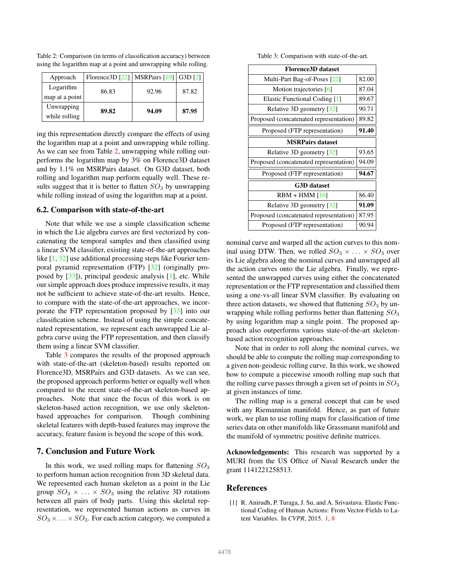| Approach       | Florence 3D $\lceil 22 \rceil$   MSRPairs $\lceil 19 \rceil$   G3D $\lceil 2 \rceil$ |       |       |
|----------------|--------------------------------------------------------------------------------------|-------|-------|
| Logarithm      | 86.83                                                                                | 92.96 | 87.82 |
| map at a point |                                                                                      |       |       |
| Unwrapping     | 89.82                                                                                | 94.09 | 87.95 |
| while rolling  |                                                                                      |       |       |

<span id="page-7-4"></span><span id="page-7-2"></span>Table 2: Comparison (in terms of classification accuracy) between using the logarithm map at a point and unwrapping while rolling.

ing this representation directly compare the effects of using the logarithm map at a point and unwrapping while rolling. As we can see from Table [2,](#page-7-2) unwrapping while rolling outperforms the logarithm map by 3% on Florence3D dataset and by 1.1% on MSRPairs dataset. On G3D dataset, both rolling and logarithm map perform equally well. These results suggest that it is better to flatten  $SO<sub>3</sub>$  by unwrapping while rolling instead of using the logarithm map at a point.

#### 6.2. Comparison with state-of-the-art

Note that while we use a simple classification scheme in which the Lie algebra curves are first vectorized by concatenating the temporal samples and then classified using a linear SVM classifier, existing state-of-the-art approaches like [\[1,](#page-7-0) [32\]](#page-8-20) use additional processing steps like Fourier temporal pyramid representation (FTP) [\[32\]](#page-8-20) (originally proposed by [\[33\]](#page-8-7)), principal geodesic analysis [\[1\]](#page-7-0), etc. While our simple approach does produce impressive results, it may not be sufficient to achieve state-of-the-art results. Hence, to compare with the state-of-the-art approaches, we incorporate the FTP representation proposed by [\[33\]](#page-8-7) into our classification scheme. Instead of using the simple concatenated representation, we represent each unwrapped Lie algebra curve using the FTP representation, and then classify them using a linear SVM classifier.

Table [3](#page-7-3) compares the results of the proposed approach with state-of-the-art (skeleton-based) results reported on Florence3D, MSRPairs and G3D datasets. As we can see, the proposed approach performs better or equally well when compared to the recent state-of-the-art skeleton-based approaches. Note that since the focus of this work is on skeleton-based action recognition, we use only skeletonbased approaches for comparison. Though combining skeletal features with depth-based features may improve the accuracy, feature fusion is beyond the scope of this work.

# <span id="page-7-1"></span>7. Conclusion and Future Work

In this work, we used rolling maps for flattening  $SO_3$ to perform human action recognition from 3D skeletal data. We represented each human skeleton as a point in the Lie group  $SO_3 \times \ldots \times SO_3$  using the relative 3D rotations between all pairs of body parts. Using this skeletal representation, we represented human actions as curves in  $SO_3 \times \ldots \times SO_3$ . For each action category, we computed a

Table 3: Comparison with state-of-the-art.

<span id="page-7-3"></span>

| <b>Florence3D</b> dataset              |       |  |  |  |
|----------------------------------------|-------|--|--|--|
| Multi-Part Bag-of-Poses [22]           | 82.00 |  |  |  |
| Motion trajectories [6]                |       |  |  |  |
| Elastic Functional Coding [1]          |       |  |  |  |
| Relative 3D geometry [32]              | 90.71 |  |  |  |
| Proposed (concatenated representation) | 89.82 |  |  |  |
| Proposed (FTP representation)          | 91.40 |  |  |  |
| <b>MSRPairs dataset</b>                |       |  |  |  |
| Relative 3D geometry [32]              | 93.65 |  |  |  |
| Proposed (concatenated representation) | 94.09 |  |  |  |
| Proposed (FTP representation)          | 94.67 |  |  |  |
| <b>G3D</b> dataset                     |       |  |  |  |
| $RBM + HMM [16]$                       | 86.40 |  |  |  |
| Relative 3D geometry [32]              | 91.09 |  |  |  |
| Proposed (concatenated representation) | 87.95 |  |  |  |
| Proposed (FTP representation)          | 90.94 |  |  |  |

nominal curve and warped all the action curves to this nominal using DTW. Then, we rolled  $SO_3 \times \ldots \times SO_3$  over its Lie algebra along the nominal curves and unwrapped all the action curves onto the Lie algebra. Finally, we represented the unwrapped curves using either the concatenated representation or the FTP representation and classified them using a one-vs-all linear SVM classifier. By evaluating on three action datasets, we showed that flattening  $SO_3$  by unwrapping while rolling performs better than flattening  $SO_3$ by using logarithm map a single point. The proposed approach also outperforms various state-of-the-art skeletonbased action recognition approaches.

Note that in order to roll along the nominal curves, we should be able to compute the rolling map corresponding to a given non-geodesic rolling curve. In this work, we showed how to compute a piecewise smooth rolling map such that the rolling curve passes through a given set of points in  $SO_3$ at given instances of time.

The rolling map is a general concept that can be used with any Riemannian manifold. Hence, as part of future work, we plan to use rolling maps for classification of time series data on other manifolds like Grassmann manifold and the manifold of symmetric positive definite matrices.

Acknowledgements: This research was supported by a MURI from the US Office of Naval Research under the grant 1141221258513.

#### References

<span id="page-7-0"></span>[1] R. Anirudh, P. Turaga, J. Su, and A. Srivastava. Elastic Functional Coding of Human Actions: From Vector-Fields to Latent Variables. In *CVPR*, 2015. [1,](#page-0-0) [8](#page-7-4)